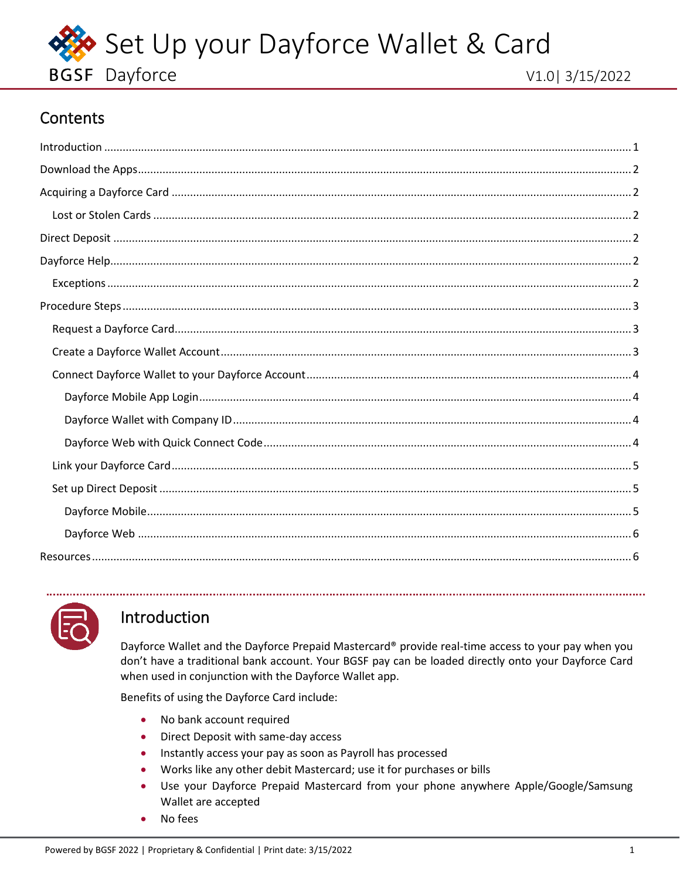

# Contents

<span id="page-0-1"></span>



## <span id="page-0-0"></span>Introduction

Dayforce Wallet and the Dayforce Prepaid Mastercard® provide real-time access to your pay when you don't have a traditional bank account. Your BGSF pay can be loaded directly onto your Dayforce Card when used in conjunction with the Dayforce Wallet app.

Benefits of using the Dayforce Card include:

- $\bullet$ No bank account required
- Direct Deposit with same-day access  $\bullet$
- Instantly access your pay as soon as Payroll has processed  $\bullet$
- Works like any other debit Mastercard; use it for purchases or bills  $\bullet$
- Use your Dayforce Prepaid Mastercard from your phone anywhere Apple/Google/Samsung  $\bullet$ Wallet are accepted
- No fees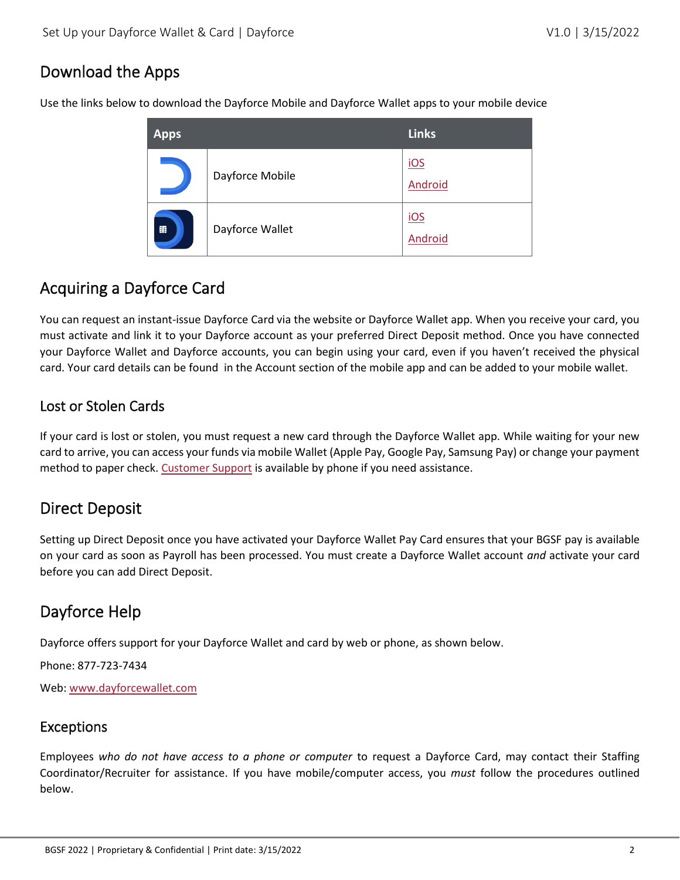# <span id="page-1-0"></span>Download the Apps

Use the links below to download the Dayforce Mobile and Dayforce Wallet apps to your mobile device

| <b>Apps</b> |                 | <b>Links</b>   |
|-------------|-----------------|----------------|
|             | Dayforce Mobile | iOS<br>Android |
| 雏           | Dayforce Wallet | iOS<br>Android |

### <span id="page-1-1"></span>Acquiring a Dayforce Card

You can request an instant-issue Dayforce Card via the website or Dayforce Wallet app. When you receive your card, you must activate and link it to your Dayforce account as your preferred Direct Deposit method. Once you have connected your Dayforce Wallet and Dayforce accounts, you can begin using your card, even if you haven't received the physical card. Your card details can be found in the Account section of the mobile app and can be added to your mobile wallet.

#### <span id="page-1-2"></span>Lost or Stolen Cards

If your card is lost or stolen, you must request a new card through the Dayforce Wallet app. While waiting for your new card to arrive, you can access your funds via mobile Wallet (Apple Pay, Google Pay, Samsung Pay) or change your payment method to paper check. [Customer Support](#page-1-4) is available by phone if you need assistance.

## <span id="page-1-3"></span>Direct Deposit

Setting up Direct Deposit once you have activated your Dayforce Wallet Pay Card ensures that your BGSF pay is available on your card as soon as Payroll has been processed. You must create a Dayforce Wallet account *and* activate your card before you can add Direct Deposit.

# <span id="page-1-4"></span>Dayforce Help

Dayforce offers support for your Dayforce Wallet and card by web or phone, as shown below.

Phone: 877-723-7434

Web[: www.dayforcewallet.com](https://d.docs.live.net/3543467039ccbd29/Documents/SL/BGSF/Ceridian/Pay%20Card/www.dayforcewallet.com)

#### <span id="page-1-5"></span>**Exceptions**

Employees *who do not have access to a phone or computer* to request a Dayforce Card, may contact their Staffing Coordinator/Recruiter for assistance. If you have mobile/computer access, you *must* follow the procedures outlined below.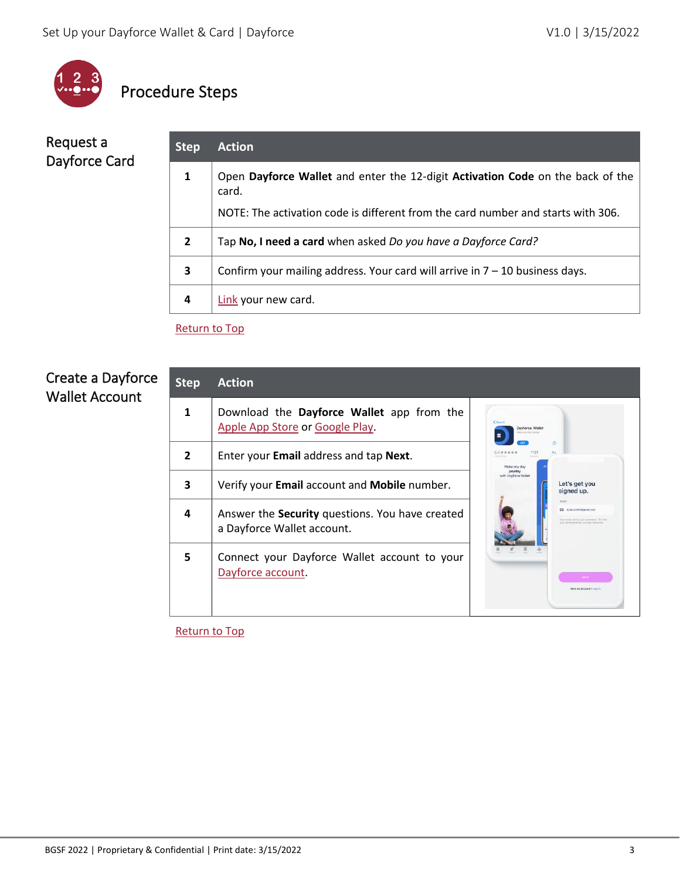

# <span id="page-2-0"></span>Procedure Steps

## <span id="page-2-1"></span>Request a Dayforce Card

| <b>Step</b>    | <b>Action</b>                                                                           |  |
|----------------|-----------------------------------------------------------------------------------------|--|
| 1              | Open Dayforce Wallet and enter the 12-digit Activation Code on the back of the<br>card. |  |
|                | NOTE: The activation code is different from the card number and starts with 306.        |  |
| $\overline{2}$ | Tap No, I need a card when asked Do you have a Dayforce Card?                           |  |
| 3              | Confirm your mailing address. Your card will arrive in $7 - 10$ business days.          |  |
| 4              | Link your new card.                                                                     |  |

[Return to Top](#page-0-1)

## <span id="page-2-2"></span>Create a Dayforce Wallet Account

| <b>Step</b>    | <b>Action</b>                                                                 |                                                                                                                                   |
|----------------|-------------------------------------------------------------------------------|-----------------------------------------------------------------------------------------------------------------------------------|
| 1              | Download the Dayforce Wallet app from the<br>Apple App Store or Google Play.  | < Search<br><b>Davforce Wallet</b><br><b>Make any day powder</b>                                                                  |
| $\overline{2}$ | Enter your Email address and tap Next.                                        | m<br>Make any day                                                                                                                 |
| 3              | Verify your Email account and Mobile number.                                  | payday<br>with Dayforce Wallet<br>Let's get you<br>signed up.                                                                     |
| 4              | Answer the Security questions. You have created<br>a Dayforce Wallet account. | <b>Drawl</b><br>conservation of EB<br>Your wright will be your comments. TIP: Che<br>and digital specification diamaterials cons- |
| 5              | Connect your Dayforce Wallet account to your<br>Dayforce account.             | Have an annount? Loo in                                                                                                           |

[Return to Top](#page-0-1)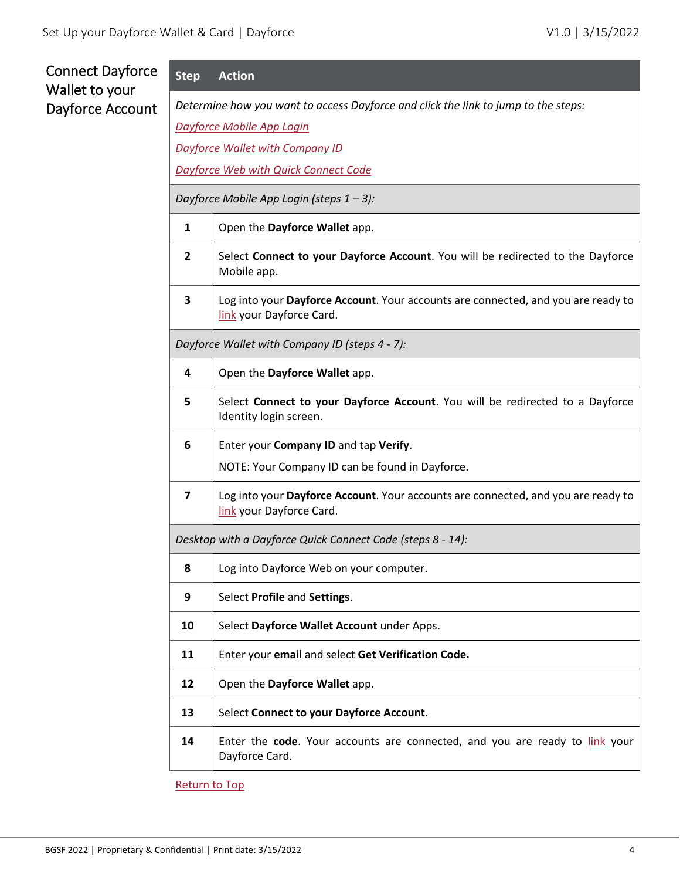# <span id="page-3-2"></span><span id="page-3-1"></span><span id="page-3-0"></span>Connect Dayforce Wallet to your Dayforce Account

| <b>Step</b>                                                                        | <b>Action</b>                                                                                                 |  |  |
|------------------------------------------------------------------------------------|---------------------------------------------------------------------------------------------------------------|--|--|
| Determine how you want to access Dayforce and click the link to jump to the steps: |                                                                                                               |  |  |
|                                                                                    | <b>Dayforce Mobile App Login</b>                                                                              |  |  |
|                                                                                    | <b>Dayforce Wallet with Company ID</b>                                                                        |  |  |
|                                                                                    | <b>Dayforce Web with Quick Connect Code</b>                                                                   |  |  |
|                                                                                    | Dayforce Mobile App Login (steps 1 - 3):                                                                      |  |  |
| 1                                                                                  | Open the Dayforce Wallet app.                                                                                 |  |  |
| $\overline{2}$                                                                     | Select Connect to your Dayforce Account. You will be redirected to the Dayforce<br>Mobile app.                |  |  |
| 3                                                                                  | Log into your Dayforce Account. Your accounts are connected, and you are ready to<br>link your Dayforce Card. |  |  |
| Dayforce Wallet with Company ID (steps 4 - 7):                                     |                                                                                                               |  |  |
| 4                                                                                  | Open the Dayforce Wallet app.                                                                                 |  |  |
| 5                                                                                  | Select Connect to your Dayforce Account. You will be redirected to a Dayforce<br>Identity login screen.       |  |  |
| 6                                                                                  | Enter your Company ID and tap Verify.                                                                         |  |  |
|                                                                                    | NOTE: Your Company ID can be found in Dayforce.                                                               |  |  |
| $\overline{\mathbf{z}}$                                                            | Log into your Dayforce Account. Your accounts are connected, and you are ready to<br>link your Dayforce Card. |  |  |
| Desktop with a Dayforce Quick Connect Code (steps 8 - 14):                         |                                                                                                               |  |  |
| 8                                                                                  | Log into Dayforce Web on your computer.                                                                       |  |  |
| 9                                                                                  | Select Profile and Settings.                                                                                  |  |  |
| 10                                                                                 | Select Dayforce Wallet Account under Apps.                                                                    |  |  |
| 11                                                                                 | Enter your email and select Get Verification Code.                                                            |  |  |
| 12                                                                                 | Open the Dayforce Wallet app.                                                                                 |  |  |
| 13                                                                                 | Select Connect to your Dayforce Account.                                                                      |  |  |
| 14                                                                                 | Enter the code. Your accounts are connected, and you are ready to link your<br>Dayforce Card.                 |  |  |

<span id="page-3-3"></span>[Return to Top](#page-0-1)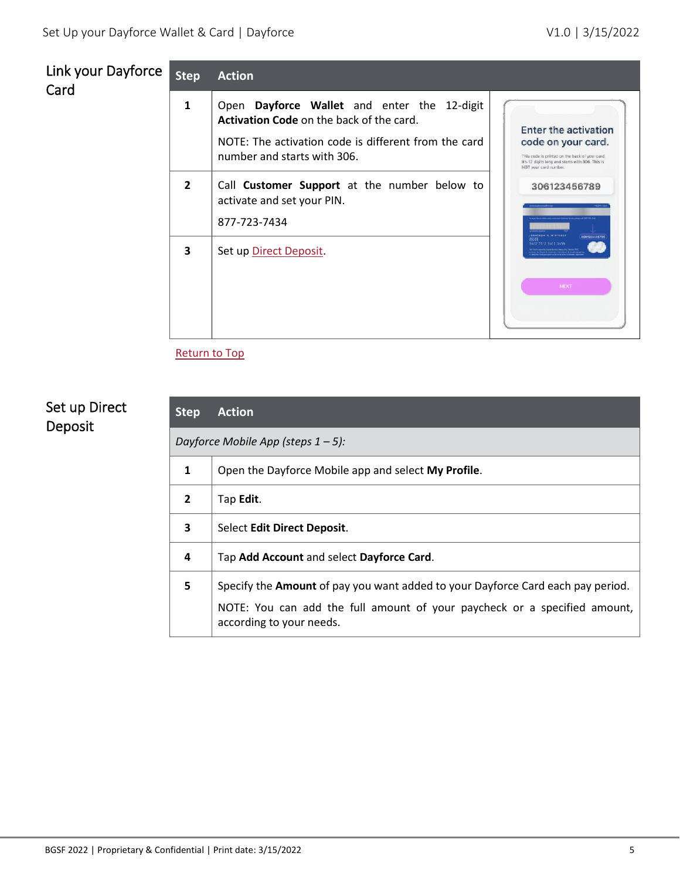<span id="page-4-0"></span>

| e: | <b>Step</b>    | <b>Action</b>                                                                                                                                                                         |                                                                                                                                                                           |
|----|----------------|---------------------------------------------------------------------------------------------------------------------------------------------------------------------------------------|---------------------------------------------------------------------------------------------------------------------------------------------------------------------------|
|    | $\mathbf{1}$   | Open Dayforce Wallet and enter the 12-digit<br><b>Activation Code on the back of the card.</b><br>NOTE: The activation code is different from the card<br>number and starts with 306. | Enter the activation<br>code on your card.<br>This code is printed on the back of your card.<br>It's 12 digits long and starts with 306. This is<br>NOT your card number. |
|    | $\overline{2}$ | Call <b>Customer Support</b> at the number below to<br>activate and set your PIN.<br>877-723-7434                                                                                     | 306123456789<br><b>SERVICES</b><br><b>MAGETS POL-31</b><br>speragues a rac                                                                                                |
|    | 3              | Set up Direct Deposit.                                                                                                                                                                | nces<br>ADP 2512 3422 SAMM<br><b>NEXT</b>                                                                                                                                 |

[Return to Top](#page-0-1)

# <span id="page-4-1"></span>Set up Direct Deposit

<span id="page-4-2"></span>

| Set up Direct<br>Deposit | <b>Step</b>                           | <b>Action</b>                                                                                         |  |
|--------------------------|---------------------------------------|-------------------------------------------------------------------------------------------------------|--|
|                          | Dayforce Mobile App (steps $1 - 5$ ): |                                                                                                       |  |
|                          | 1                                     | Open the Dayforce Mobile app and select My Profile.                                                   |  |
|                          | $\overline{2}$                        | Tap Edit.                                                                                             |  |
|                          | 3                                     | Select Edit Direct Deposit.                                                                           |  |
|                          | 4                                     | Tap Add Account and select Dayforce Card.                                                             |  |
|                          | 5                                     | Specify the Amount of pay you want added to your Dayforce Card each pay period.                       |  |
|                          |                                       | NOTE: You can add the full amount of your paycheck or a specified amount,<br>according to your needs. |  |